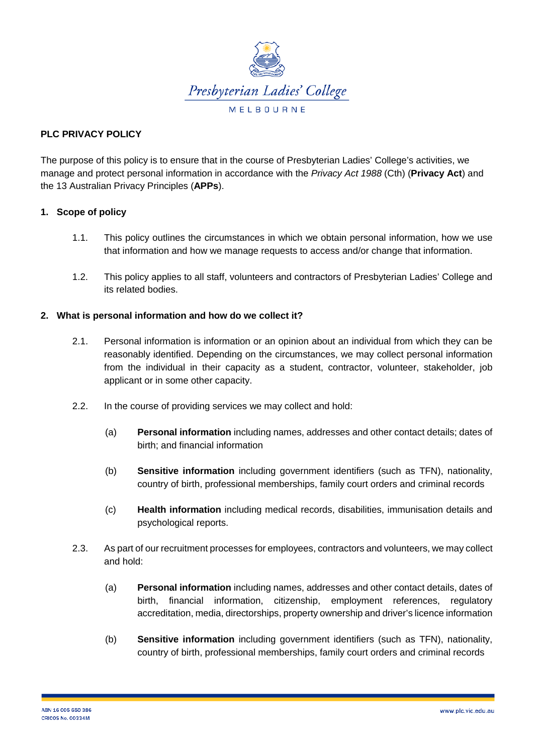

# **PLC PRIVACY POLICY**

The purpose of this policy is to ensure that in the course of Presbyterian Ladies' College's activities, we manage and protect personal information in accordance with the *Privacy Act 1988* (Cth) (**Privacy Act**) and the 13 Australian Privacy Principles (**APPs**).

### **1. Scope of policy**

- 1.1. This policy outlines the circumstances in which we obtain personal information, how we use that information and how we manage requests to access and/or change that information.
- 1.2. This policy applies to all staff, volunteers and contractors of Presbyterian Ladies' College and its related bodies.

#### **2. What is personal information and how do we collect it?**

- 2.1. Personal information is information or an opinion about an individual from which they can be reasonably identified. Depending on the circumstances, we may collect personal information from the individual in their capacity as a student, contractor, volunteer, stakeholder, job applicant or in some other capacity.
- 2.2. In the course of providing services we may collect and hold:
	- (a) **Personal information** including names, addresses and other contact details; dates of birth; and financial information
	- (b) **Sensitive information** including government identifiers (such as TFN), nationality, country of birth, professional memberships, family court orders and criminal records
	- (c) **Health information** including medical records, disabilities, immunisation details and psychological reports.
- 2.3. As part of our recruitment processes for employees, contractors and volunteers, we may collect and hold:
	- (a) **Personal information** including names, addresses and other contact details, dates of birth, financial information, citizenship, employment references, regulatory accreditation, media, directorships, property ownership and driver's licence information
	- (b) **Sensitive information** including government identifiers (such as TFN), nationality, country of birth, professional memberships, family court orders and criminal records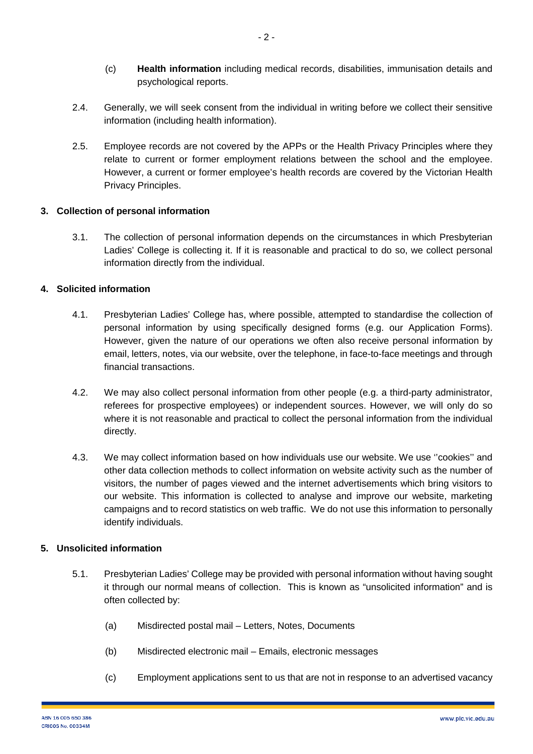- (c) **Health information** including medical records, disabilities, immunisation details and psychological reports.
- 2.4. Generally, we will seek consent from the individual in writing before we collect their sensitive information (including health information).
- 2.5. Employee records are not covered by the APPs or the Health Privacy Principles where they relate to current or former employment relations between the school and the employee. However, a current or former employee's health records are covered by the Victorian Health Privacy Principles.

# **3. Collection of personal information**

3.1. The collection of personal information depends on the circumstances in which Presbyterian Ladies' College is collecting it. If it is reasonable and practical to do so, we collect personal information directly from the individual.

### **4. Solicited information**

- 4.1. Presbyterian Ladies' College has, where possible, attempted to standardise the collection of personal information by using specifically designed forms (e.g. our Application Forms). However, given the nature of our operations we often also receive personal information by email, letters, notes, via our website, over the telephone, in face-to-face meetings and through financial transactions.
- 4.2. We may also collect personal information from other people (e.g. a third-party administrator, referees for prospective employees) or independent sources. However, we will only do so where it is not reasonable and practical to collect the personal information from the individual directly.
- 4.3. We may collect information based on how individuals use our website. We use ''cookies'' and other data collection methods to collect information on website activity such as the number of visitors, the number of pages viewed and the internet advertisements which bring visitors to our website. This information is collected to analyse and improve our website, marketing campaigns and to record statistics on web traffic. We do not use this information to personally identify individuals.

### **5. Unsolicited information**

- 5.1. Presbyterian Ladies' College may be provided with personal information without having sought it through our normal means of collection. This is known as "unsolicited information" and is often collected by:
	- (a) Misdirected postal mail Letters, Notes, Documents
	- (b) Misdirected electronic mail Emails, electronic messages
	- (c) Employment applications sent to us that are not in response to an advertised vacancy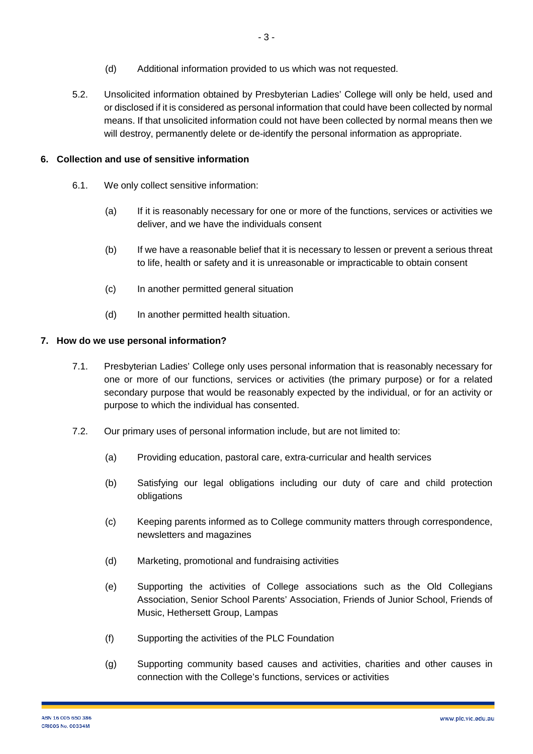- (d) Additional information provided to us which was not requested.
- 5.2. Unsolicited information obtained by Presbyterian Ladies' College will only be held, used and or disclosed if it is considered as personal information that could have been collected by normal means. If that unsolicited information could not have been collected by normal means then we will destroy, permanently delete or de-identify the personal information as appropriate.

# **6. Collection and use of sensitive information**

- 6.1. We only collect sensitive information:
	- (a) If it is reasonably necessary for one or more of the functions, services or activities we deliver, and we have the individuals consent
	- (b) If we have a reasonable belief that it is necessary to lessen or prevent a serious threat to life, health or safety and it is unreasonable or impracticable to obtain consent
	- (c) In another permitted general situation
	- (d) In another permitted health situation.

### **7. How do we use personal information?**

- 7.1. Presbyterian Ladies' College only uses personal information that is reasonably necessary for one or more of our functions, services or activities (the primary purpose) or for a related secondary purpose that would be reasonably expected by the individual, or for an activity or purpose to which the individual has consented.
- 7.2. Our primary uses of personal information include, but are not limited to:
	- (a) Providing education, pastoral care, extra-curricular and health services
	- (b) Satisfying our legal obligations including our duty of care and child protection obligations
	- (c) Keeping parents informed as to College community matters through correspondence, newsletters and magazines
	- (d) Marketing, promotional and fundraising activities
	- (e) Supporting the activities of College associations such as the Old Collegians Association, Senior School Parents' Association, Friends of Junior School, Friends of Music, Hethersett Group, Lampas
	- (f) Supporting the activities of the PLC Foundation
	- (g) Supporting community based causes and activities, charities and other causes in connection with the College's functions, services or activities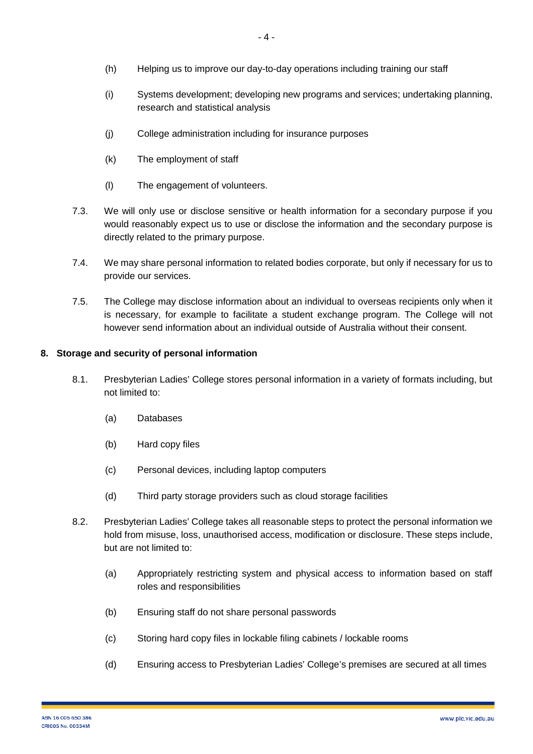- (i) Systems development; developing new programs and services; undertaking planning, research and statistical analysis
- (j) College administration including for insurance purposes
- (k) The employment of staff
- (l) The engagement of volunteers.
- 7.3. We will only use or disclose sensitive or health information for a secondary purpose if you would reasonably expect us to use or disclose the information and the secondary purpose is directly related to the primary purpose.
- 7.4. We may share personal information to related bodies corporate, but only if necessary for us to provide our services.
- 7.5. The College may disclose information about an individual to overseas recipients only when it is necessary, for example to facilitate a student exchange program. The College will not however send information about an individual outside of Australia without their consent.

# **8. Storage and security of personal information**

- 8.1. Presbyterian Ladies' College stores personal information in a variety of formats including, but not limited to:
	- (a) Databases
	- (b) Hard copy files
	- (c) Personal devices, including laptop computers
	- (d) Third party storage providers such as cloud storage facilities
- 8.2. Presbyterian Ladies' College takes all reasonable steps to protect the personal information we hold from misuse, loss, unauthorised access, modification or disclosure. These steps include, but are not limited to:
	- (a) Appropriately restricting system and physical access to information based on staff roles and responsibilities
	- (b) Ensuring staff do not share personal passwords
	- (c) Storing hard copy files in lockable filing cabinets / lockable rooms
	- (d) Ensuring access to Presbyterian Ladies' College's premises are secured at all times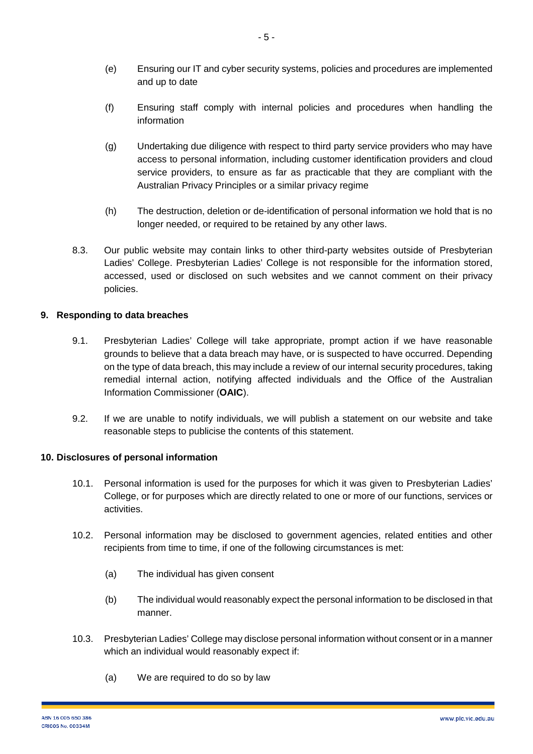- (e) Ensuring our IT and cyber security systems, policies and procedures are implemented and up to date
- (f) Ensuring staff comply with internal policies and procedures when handling the information
- (g) Undertaking due diligence with respect to third party service providers who may have access to personal information, including customer identification providers and cloud service providers, to ensure as far as practicable that they are compliant with the Australian Privacy Principles or a similar privacy regime
- (h) The destruction, deletion or de-identification of personal information we hold that is no longer needed, or required to be retained by any other laws.
- 8.3. Our public website may contain links to other third-party websites outside of Presbyterian Ladies' College. Presbyterian Ladies' College is not responsible for the information stored, accessed, used or disclosed on such websites and we cannot comment on their privacy policies.

### **9. Responding to data breaches**

- 9.1. Presbyterian Ladies' College will take appropriate, prompt action if we have reasonable grounds to believe that a data breach may have, or is suspected to have occurred. Depending on the type of data breach, this may include a review of our internal security procedures, taking remedial internal action, notifying affected individuals and the Office of the Australian Information Commissioner (**OAIC**).
- 9.2. If we are unable to notify individuals, we will publish a statement on our website and take reasonable steps to publicise the contents of this statement.

#### **10. Disclosures of personal information**

- 10.1. Personal information is used for the purposes for which it was given to Presbyterian Ladies' College, or for purposes which are directly related to one or more of our functions, services or activities.
- 10.2. Personal information may be disclosed to government agencies, related entities and other recipients from time to time, if one of the following circumstances is met:
	- (a) The individual has given consent
	- (b) The individual would reasonably expect the personal information to be disclosed in that manner.
- 10.3. Presbyterian Ladies' College may disclose personal information without consent or in a manner which an individual would reasonably expect if:
	- (a) We are required to do so by law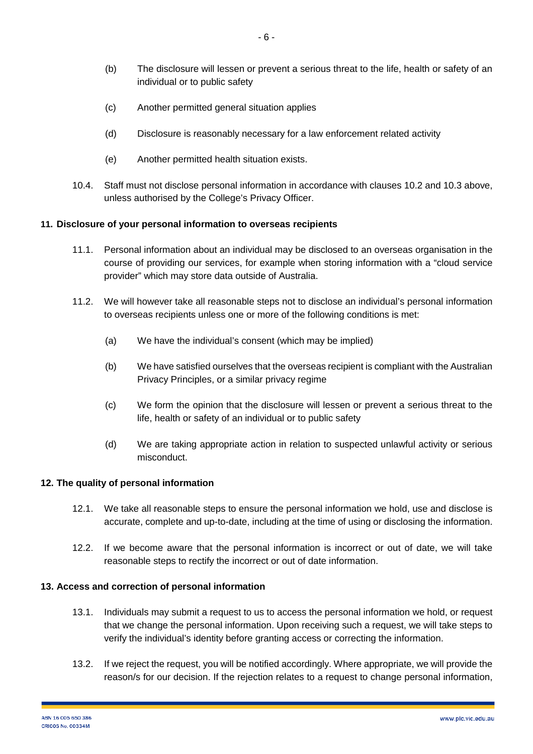- (c) Another permitted general situation applies
- (d) Disclosure is reasonably necessary for a law enforcement related activity
- (e) Another permitted health situation exists.
- 10.4. Staff must not disclose personal information in accordance with clauses 10.2 and 10.3 above, unless authorised by the College's Privacy Officer.

# **11. Disclosure of your personal information to overseas recipients**

- 11.1. Personal information about an individual may be disclosed to an overseas organisation in the course of providing our services, for example when storing information with a "cloud service provider" which may store data outside of Australia.
- 11.2. We will however take all reasonable steps not to disclose an individual's personal information to overseas recipients unless one or more of the following conditions is met:
	- (a) We have the individual's consent (which may be implied)
	- (b) We have satisfied ourselves that the overseas recipient is compliant with the Australian Privacy Principles, or a similar privacy regime
	- (c) We form the opinion that the disclosure will lessen or prevent a serious threat to the life, health or safety of an individual or to public safety
	- (d) We are taking appropriate action in relation to suspected unlawful activity or serious misconduct.

# **12. The quality of personal information**

- 12.1. We take all reasonable steps to ensure the personal information we hold, use and disclose is accurate, complete and up-to-date, including at the time of using or disclosing the information.
- 12.2. If we become aware that the personal information is incorrect or out of date, we will take reasonable steps to rectify the incorrect or out of date information.

#### **13. Access and correction of personal information**

- 13.1. Individuals may submit a request to us to access the personal information we hold, or request that we change the personal information. Upon receiving such a request, we will take steps to verify the individual's identity before granting access or correcting the information.
- 13.2. If we reject the request, you will be notified accordingly. Where appropriate, we will provide the reason/s for our decision. If the rejection relates to a request to change personal information,